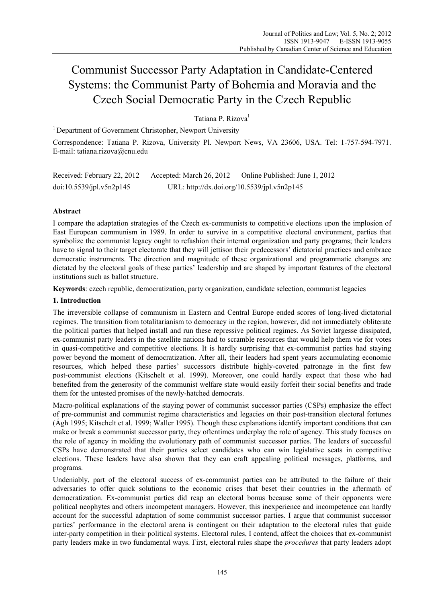# Communist Successor Party Adaptation in Candidate-Centered Systems: the Communist Party of Bohemia and Moravia and the Czech Social Democratic Party in the Czech Republic

# Tatiana P. Rizova<sup>1</sup>

<sup>1</sup> Department of Government Christopher, Newport University

Correspondence: Tatiana P. Rizova, University Pl. Newport News, VA 23606, USA. Tel: 1-757-594-7971. E-mail: tatiana.rizova@cnu.edu

Received: February 22, 2012 Accepted: March 26, 2012 Online Published: June 1, 2012 doi:10.5539/jpl.v5n2p145 URL: http://dx.doi.org/10.5539/jpl.v5n2p145

# **Abstract**

I compare the adaptation strategies of the Czech ex-communists to competitive elections upon the implosion of East European communism in 1989. In order to survive in a competitive electoral environment, parties that symbolize the communist legacy ought to refashion their internal organization and party programs; their leaders have to signal to their target electorate that they will jettison their predecessors' dictatorial practices and embrace democratic instruments. The direction and magnitude of these organizational and programmatic changes are dictated by the electoral goals of these parties' leadership and are shaped by important features of the electoral institutions such as ballot structure.

**Keywords**: czech republic, democratization, party organization, candidate selection, communist legacies

# **1. Introduction**

The irreversible collapse of communism in Eastern and Central Europe ended scores of long-lived dictatorial regimes. The transition from totalitarianism to democracy in the region, however, did not immediately obliterate the political parties that helped install and run these repressive political regimes. As Soviet largesse dissipated, ex-communist party leaders in the satellite nations had to scramble resources that would help them vie for votes in quasi-competitive and competitive elections. It is hardly surprising that ex-communist parties had staying power beyond the moment of democratization. After all, their leaders had spent years accumulating economic resources, which helped these parties' successors distribute highly-coveted patronage in the first few post-communist elections (Kitschelt et al. 1999). Moreover, one could hardly expect that those who had benefited from the generosity of the communist welfare state would easily forfeit their social benefits and trade them for the untested promises of the newly-hatched democrats.

Macro-political explanations of the staying power of communist successor parties (CSPs) emphasize the effect of pre-communist and communist regime characteristics and legacies on their post-transition electoral fortunes (Ágh 1995; Kitschelt et al. 1999; Waller 1995). Though these explanations identify important conditions that can make or break a communist successor party, they oftentimes underplay the role of agency. This study focuses on the role of agency in molding the evolutionary path of communist successor parties. The leaders of successful CSPs have demonstrated that their parties select candidates who can win legislative seats in competitive elections. These leaders have also shown that they can craft appealing political messages, platforms, and programs.

Undeniably, part of the electoral success of ex-communist parties can be attributed to the failure of their adversaries to offer quick solutions to the economic crises that beset their countries in the aftermath of democratization. Ex-communist parties did reap an electoral bonus because some of their opponents were political neophytes and others incompetent managers. However, this inexperience and incompetence can hardly account for the successful adaptation of some communist successor parties. I argue that communist successor parties' performance in the electoral arena is contingent on their adaptation to the electoral rules that guide inter-party competition in their political systems. Electoral rules, I contend, affect the choices that ex-communist party leaders make in two fundamental ways. First, electoral rules shape the *procedures* that party leaders adopt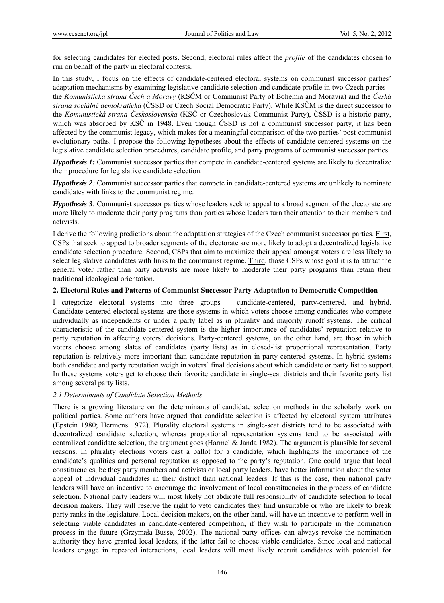for selecting candidates for elected posts. Second, electoral rules affect the *profile* of the candidates chosen to run on behalf of the party in electoral contests.

In this study, I focus on the effects of candidate-centered electoral systems on communist successor parties' adaptation mechanisms by examining legislative candidate selection and candidate profile in two Czech parties – the *Komunistická strana Čech a Moravy* (KSČM or Communist Party of Bohemia and Moravia) and the *Česká strana sociálně demokratická* (ČSSD or Czech Social Democratic Party). While KSČM is the direct successor to the *Komunistická strana Československa* (KSČ or Czechoslovak Communist Party), ČSSD is a historic party, which was absorbed by KSČ in 1948. Even though ČSSD is not a communist successor party, it has been affected by the communist legacy, which makes for a meaningful comparison of the two parties' post-communist evolutionary paths. I propose the following hypotheses about the effects of candidate-centered systems on the legislative candidate selection procedures, candidate profile, and party programs of communist successor parties.

*Hypothesis 1:* Communist successor parties that compete in candidate-centered systems are likely to decentralize their procedure for legislative candidate selection*.* 

*Hypothesis 2:* Communist successor parties that compete in candidate-centered systems are unlikely to nominate candidates with links to the communist regime.

*Hypothesis 3:* Communist successor parties whose leaders seek to appeal to a broad segment of the electorate are more likely to moderate their party programs than parties whose leaders turn their attention to their members and activists.

I derive the following predictions about the adaptation strategies of the Czech communist successor parties. First, CSPs that seek to appeal to broader segments of the electorate are more likely to adopt a decentralized legislative candidate selection procedure. Second, CSPs that aim to maximize their appeal amongst voters are less likely to select legislative candidates with links to the communist regime. Third, those CSPs whose goal it is to attract the general voter rather than party activists are more likely to moderate their party programs than retain their traditional ideological orientation.

# **2. Electoral Rules and Patterns of Communist Successor Party Adaptation to Democratic Competition**

I categorize electoral systems into three groups – candidate-centered, party-centered, and hybrid. Candidate-centered electoral systems are those systems in which voters choose among candidates who compete individually as independents or under a party label as in plurality and majority runoff systems. The critical characteristic of the candidate-centered system is the higher importance of candidates' reputation relative to party reputation in affecting voters' decisions. Party-centered systems, on the other hand, are those in which voters choose among slates of candidates (party lists) as in closed-list proportional representation. Party reputation is relatively more important than candidate reputation in party-centered systems. In hybrid systems both candidate and party reputation weigh in voters' final decisions about which candidate or party list to support. In these systems voters get to choose their favorite candidate in single-seat districts and their favorite party list among several party lists.

# *2.1 Determinants of Candidate Selection Methods*

There is a growing literature on the determinants of candidate selection methods in the scholarly work on political parties. Some authors have argued that candidate selection is affected by electoral system attributes (Epstein 1980; Hermens 1972). Plurality electoral systems in single-seat districts tend to be associated with decentralized candidate selection, whereas proportional representation systems tend to be associated with centralized candidate selection, the argument goes (Harmel & Janda 1982). The argument is plausible for several reasons. In plurality elections voters cast a ballot for a candidate, which highlights the importance of the candidate's qualities and personal reputation as opposed to the party's reputation. One could argue that local constituencies, be they party members and activists or local party leaders, have better information about the voter appeal of individual candidates in their district than national leaders. If this is the case, then national party leaders will have an incentive to encourage the involvement of local constituencies in the process of candidate selection. National party leaders will most likely not abdicate full responsibility of candidate selection to local decision makers. They will reserve the right to veto candidates they find unsuitable or who are likely to break party ranks in the legislature. Local decision makers, on the other hand, will have an incentive to perform well in selecting viable candidates in candidate-centered competition, if they wish to participate in the nomination process in the future (Grzymała-Busse, 2002). The national party offices can always revoke the nomination authority they have granted local leaders, if the latter fail to choose viable candidates. Since local and national leaders engage in repeated interactions, local leaders will most likely recruit candidates with potential for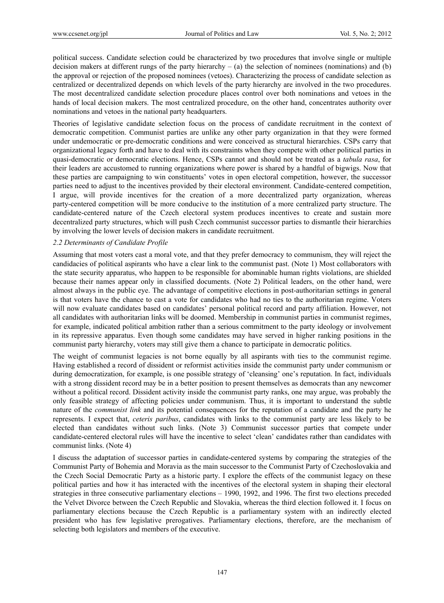political success. Candidate selection could be characterized by two procedures that involve single or multiple decision makers at different rungs of the party hierarchy  $-$  (a) the selection of nominees (nominations) and (b) the approval or rejection of the proposed nominees (vetoes). Characterizing the process of candidate selection as centralized or decentralized depends on which levels of the party hierarchy are involved in the two procedures. The most decentralized candidate selection procedure places control over both nominations and vetoes in the hands of local decision makers. The most centralized procedure, on the other hand, concentrates authority over nominations and vetoes in the national party headquarters.

Theories of legislative candidate selection focus on the process of candidate recruitment in the context of democratic competition. Communist parties are unlike any other party organization in that they were formed under undemocratic or pre-democratic conditions and were conceived as structural hierarchies. CSPs carry that organizational legacy forth and have to deal with its constraints when they compete with other political parties in quasi-democratic or democratic elections. Hence, CSPs cannot and should not be treated as a *tabula rasa*, for their leaders are accustomed to running organizations where power is shared by a handful of bigwigs. Now that these parties are campaigning to win constituents' votes in open electoral competition, however, the successor parties need to adjust to the incentives provided by their electoral environment. Candidate-centered competition, I argue, will provide incentives for the creation of a more decentralized party organization, whereas party-centered competition will be more conducive to the institution of a more centralized party structure. The candidate-centered nature of the Czech electoral system produces incentives to create and sustain more decentralized party structures, which will push Czech communist successor parties to dismantle their hierarchies by involving the lower levels of decision makers in candidate recruitment.

# *2.2 Determinants of Candidate Profile*

Assuming that most voters cast a moral vote, and that they prefer democracy to communism, they will reject the candidacies of political aspirants who have a clear link to the communist past. (Note 1) Most collaborators with the state security apparatus, who happen to be responsible for abominable human rights violations, are shielded because their names appear only in classified documents. (Note 2) Political leaders, on the other hand, were almost always in the public eye. The advantage of competitive elections in post-authoritarian settings in general is that voters have the chance to cast a vote for candidates who had no ties to the authoritarian regime. Voters will now evaluate candidates based on candidates' personal political record and party affiliation. However, not all candidates with authoritarian links will be doomed. Membership in communist parties in communist regimes, for example, indicated political ambition rather than a serious commitment to the party ideology or involvement in its repressive apparatus. Even though some candidates may have served in higher ranking positions in the communist party hierarchy, voters may still give them a chance to participate in democratic politics.

The weight of communist legacies is not borne equally by all aspirants with ties to the communist regime. Having established a record of dissident or reformist activities inside the communist party under communism or during democratization, for example, is one possible strategy of 'cleansing' one's reputation. In fact, individuals with a strong dissident record may be in a better position to present themselves as democrats than any newcomer without a political record. Dissident activity inside the communist party ranks, one may argue, was probably the only feasible strategy of affecting policies under communism. Thus, it is important to understand the subtle nature of the *communist link* and its potential consequences for the reputation of a candidate and the party he represents. I expect that, *ceteris paribus*, candidates with links to the communist party are less likely to be elected than candidates without such links. (Note 3) Communist successor parties that compete under candidate-centered electoral rules will have the incentive to select 'clean' candidates rather than candidates with communist links. (Note 4)

I discuss the adaptation of successor parties in candidate-centered systems by comparing the strategies of the Communist Party of Bohemia and Moravia as the main successor to the Communist Party of Czechoslovakia and the Czech Social Democratic Party as a historic party. I explore the effects of the communist legacy on these political parties and how it has interacted with the incentives of the electoral system in shaping their electoral strategies in three consecutive parliamentary elections – 1990, 1992, and 1996. The first two elections preceded the Velvet Divorce between the Czech Republic and Slovakia, whereas the third election followed it. I focus on parliamentary elections because the Czech Republic is a parliamentary system with an indirectly elected president who has few legislative prerogatives. Parliamentary elections, therefore, are the mechanism of selecting both legislators and members of the executive.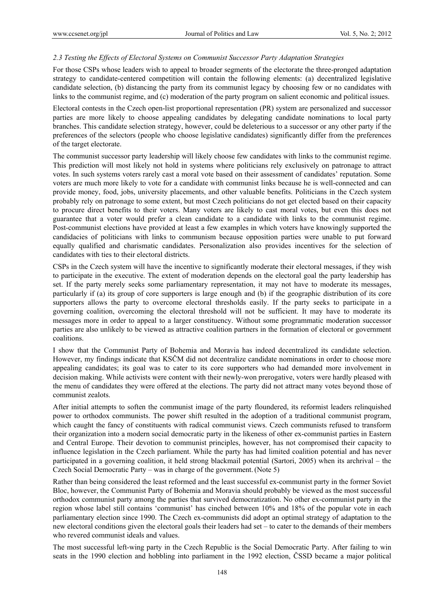#### *2.3 Testing the Effects of Electoral Systems on Communist Successor Party Adaptation Strategies*

For those CSPs whose leaders wish to appeal to broader segments of the electorate the three-pronged adaptation strategy to candidate-centered competition will contain the following elements: (a) decentralized legislative candidate selection, (b) distancing the party from its communist legacy by choosing few or no candidates with links to the communist regime, and (c) moderation of the party program on salient economic and political issues.

Electoral contests in the Czech open-list proportional representation (PR) system are personalized and successor parties are more likely to choose appealing candidates by delegating candidate nominations to local party branches. This candidate selection strategy, however, could be deleterious to a successor or any other party if the preferences of the selectors (people who choose legislative candidates) significantly differ from the preferences of the target electorate.

The communist successor party leadership will likely choose few candidates with links to the communist regime. This prediction will most likely not hold in systems where politicians rely exclusively on patronage to attract votes. In such systems voters rarely cast a moral vote based on their assessment of candidates' reputation. Some voters are much more likely to vote for a candidate with communist links because he is well-connected and can provide money, food, jobs, university placements, and other valuable benefits. Politicians in the Czech system probably rely on patronage to some extent, but most Czech politicians do not get elected based on their capacity to procure direct benefits to their voters. Many voters are likely to cast moral votes, but even this does not guarantee that a voter would prefer a clean candidate to a candidate with links to the communist regime. Post-communist elections have provided at least a few examples in which voters have knowingly supported the candidacies of politicians with links to communism because opposition parties were unable to put forward equally qualified and charismatic candidates. Personalization also provides incentives for the selection of candidates with ties to their electoral districts.

CSPs in the Czech system will have the incentive to significantly moderate their electoral messages, if they wish to participate in the executive. The extent of moderation depends on the electoral goal the party leadership has set. If the party merely seeks some parliamentary representation, it may not have to moderate its messages, particularly if (a) its group of core supporters is large enough and (b) if the geographic distribution of its core supporters allows the party to overcome electoral thresholds easily. If the party seeks to participate in a governing coalition, overcoming the electoral threshold will not be sufficient. It may have to moderate its messages more in order to appeal to a larger constituency. Without some programmatic moderation successor parties are also unlikely to be viewed as attractive coalition partners in the formation of electoral or government coalitions.

I show that the Communist Party of Bohemia and Moravia has indeed decentralized its candidate selection. However, my findings indicate that KSČM did not decentralize candidate nominations in order to choose more appealing candidates; its goal was to cater to its core supporters who had demanded more involvement in decision making. While activists were content with their newly-won prerogative, voters were hardly pleased with the menu of candidates they were offered at the elections. The party did not attract many votes beyond those of communist zealots.

After initial attempts to soften the communist image of the party floundered, its reformist leaders relinquished power to orthodox communists. The power shift resulted in the adoption of a traditional communist program, which caught the fancy of constituents with radical communist views. Czech communists refused to transform their organization into a modern social democratic party in the likeness of other ex-communist parties in Eastern and Central Europe. Their devotion to communist principles, however, has not compromised their capacity to influence legislation in the Czech parliament. While the party has had limited coalition potential and has never participated in a governing coalition, it held strong blackmail potential (Sartori, 2005) when its archrival – the Czech Social Democratic Party – was in charge of the government.(Note 5)

Rather than being considered the least reformed and the least successful ex-communist party in the former Soviet Bloc, however, the Communist Party of Bohemia and Moravia should probably be viewed as the most successful orthodox communist party among the parties that survived democratization. No other ex-communist party in the region whose label still contains 'communist' has cinched between 10% and 18% of the popular vote in each parliamentary election since 1990. The Czech ex-communists did adopt an optimal strategy of adaptation to the new electoral conditions given the electoral goals their leaders had set – to cater to the demands of their members who revered communist ideals and values.

The most successful left-wing party in the Czech Republic is the Social Democratic Party. After failing to win seats in the 1990 election and hobbling into parliament in the 1992 election, ČSSD became a major political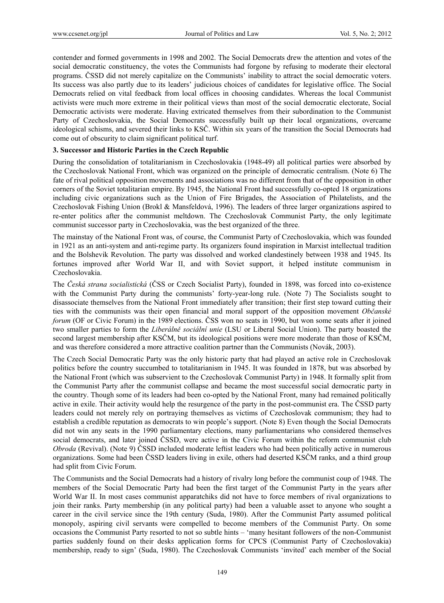contender and formed governments in 1998 and 2002. The Social Democrats drew the attention and votes of the social democratic constituency, the votes the Communists had forgone by refusing to moderate their electoral programs. ČSSD did not merely capitalize on the Communists' inability to attract the social democratic voters. Its success was also partly due to its leaders' judicious choices of candidates for legislative office. The Social Democrats relied on vital feedback from local offices in choosing candidates. Whereas the local Communist activists were much more extreme in their political views than most of the social democratic electorate, Social Democratic activists were moderate. Having extricated themselves from their subordination to the Communist Party of Czechoslovakia, the Social Democrats successfully built up their local organizations, overcame ideological schisms, and severed their links to KSČ. Within six years of the transition the Social Democrats had come out of obscurity to claim significant political turf.

#### **3. Successor and Historic Parties in the Czech Republic**

During the consolidation of totalitarianism in Czechoslovakia (1948-49) all political parties were absorbed by the Czechoslovak National Front, which was organized on the principle of democratic centralism. (Note 6) The fate of rival political opposition movements and associations was no different from that of the opposition in other corners of the Soviet totalitarian empire. By 1945, the National Front had successfully co-opted 18 organizations including civic organizations such as the Union of Fire Brigades, the Association of Philatelists, and the Czechoslovak Fishing Union (Brokl & Mansfeldová, 1996). The leaders of three larger organizations aspired to re-enter politics after the communist meltdown. The Czechoslovak Communist Party, the only legitimate communist successor party in Czechoslovakia, was the best organized of the three.

The mainstay of the National Front was, of course, the Communist Party of Czechoslovakia, which was founded in 1921 as an anti-system and anti-regime party. Its organizers found inspiration in Marxist intellectual tradition and the Bolshevik Revolution. The party was dissolved and worked clandestinely between 1938 and 1945. Its fortunes improved after World War II, and with Soviet support, it helped institute communism in Czechoslovakia.

The *Česká strana socialistická* (ČSS or Czech Socialist Party), founded in 1898, was forced into co-existence with the Communist Party during the communists' forty-year-long rule. (Note 7) The Socialists sought to disassociate themselves from the National Front immediately after transition; their first step toward cutting their ties with the communists was their open financial and moral support of the opposition movement *Občanské forum* (OF or Civic Forum) in the 1989 elections. ČSS won no seats in 1990, but won some seats after it joined two smaller parties to form the *Liberálně sociální unie* (LSU or Liberal Social Union). The party boasted the second largest membership after KSČM, but its ideological positions were more moderate than those of KSČM, and was therefore considered a more attractive coalition partner than the Communists (Novák, 2003).

The Czech Social Democratic Party was the only historic party that had played an active role in Czechoslovak politics before the country succumbed to totalitarianism in 1945. It was founded in 1878, but was absorbed by the National Front (which was subservient to the Czechoslovak Communist Party) in 1948. It formally split from the Communist Party after the communist collapse and became the most successful social democratic party in the country. Though some of its leaders had been co-opted by the National Front, many had remained politically active in exile. Their activity would help the resurgence of the party in the post-communist era. The ČSSD party leaders could not merely rely on portraying themselves as victims of Czechoslovak communism; they had to establish a credible reputation as democrats to win people's support. (Note 8) Even though the Social Democrats did not win any seats in the 1990 parliamentary elections, many parliamentarians who considered themselves social democrats, and later joined ČSSD, were active in the Civic Forum within the reform communist club *Obroda* (Revival). (Note 9) ČSSD included moderate leftist leaders who had been politically active in numerous organizations. Some had been ČSSD leaders living in exile, others had deserted KSČM ranks, and a third group had split from Civic Forum.

The Communists and the Social Democrats had a history of rivalry long before the communist coup of 1948. The members of the Social Democratic Party had been the first target of the Communist Party in the years after World War II. In most cases communist apparatchiks did not have to force members of rival organizations to join their ranks. Party membership (in any political party) had been a valuable asset to anyone who sought a career in the civil service since the 19th century (Suda, 1980). After the Communist Party assumed political monopoly, aspiring civil servants were compelled to become members of the Communist Party. On some occasions the Communist Party resorted to not so subtle hints – 'many hesitant followers of the non-Communist parties suddenly found on their desks application forms for CPCS (Communist Party of Czechoslovakia) membership, ready to sign' (Suda, 1980). The Czechoslovak Communists 'invited' each member of the Social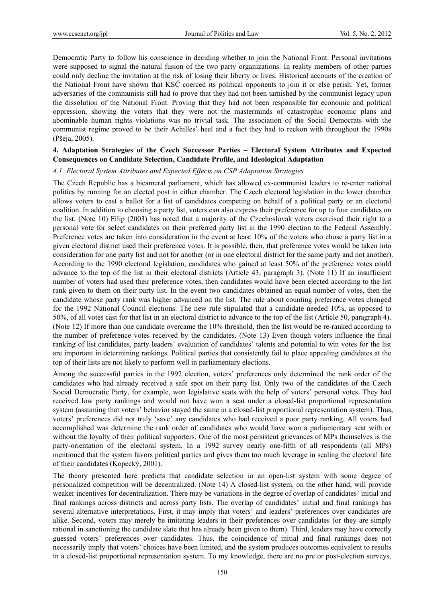Democratic Party to follow his conscience in deciding whether to join the National Front. Personal invitations were supposed to signal the natural fusion of the two party organizations. In reality members of other parties could only decline the invitation at the risk of losing their liberty or lives. Historical accounts of the creation of the National Front have shown that KSČ coerced its political opponents to join it or else perish. Yet, former adversaries of the communists still had to prove that they had not been tarnished by the communist legacy upon the dissolution of the National Front. Proving that they had not been responsible for economic and political oppression, showing the voters that they were not the masterminds of catastrophic economic plans and abominable human rights violations was no trivial task. The association of the Social Democrats with the communist regime proved to be their Achilles' heel and a fact they had to reckon with throughout the 1990s (Pšeja, 2005).

#### **4. Adaptation Strategies of the Czech Successor Parties – Electoral System Attributes and Expected Consequences on Candidate Selection, Candidate Profile, and Ideological Adaptation**

#### *4.1 Electoral System Attributes and Expected Effects on CSP Adaptation Strategies*

The Czech Republic has a bicameral parliament, which has allowed ex-communist leaders to re-enter national politics by running for an elected post in either chamber. The Czech electoral legislation in the lower chamber allows voters to cast a ballot for a list of candidates competing on behalf of a political party or an electoral coalition. In addition to choosing a party list, voters can also express their preference for up to four candidates on the list. (Note 10) Filip (2003) has noted that a majority of the Czechoslovak voters exercised their right to a personal vote for select candidates on their preferred party list in the 1990 election to the Federal Assembly. Preference votes are taken into consideration in the event at least 10% of the voters who chose a party list in a given electoral district used their preference votes. It is possible, then, that preference votes would be taken into consideration for one party list and not for another (or in one electoral district for the same party and not another). According to the 1990 electoral legislation, candidates who gained at least 50% of the preference votes could advance to the top of the list in their electoral districts (Article 43, paragraph 3). (Note 11) If an insufficient number of voters had used their preference votes, then candidates would have been elected according to the list rank given to them on their party list. In the event two candidates obtained an equal number of votes, then the candidate whose party rank was higher advanced on the list. The rule about counting preference votes changed for the 1992 National Council elections. The new rule stipulated that a candidate needed 10%, as opposed to 50%, of all votes cast for that list in an electoral district to advance to the top of the list (Article 50, paragraph 4). (Note 12) If more than one candidate overcame the 10% threshold, then the list would be re-ranked according to the number of preference votes received by the candidates. (Note 13) Even though voters influence the final ranking of list candidates, party leaders' evaluation of candidates' talents and potential to win votes for the list are important in determining rankings. Political parties that consistently fail to place appealing candidates at the top of their lists are not likely to perform well in parliamentary elections.

Among the successful parties in the 1992 election, voters' preferences only determined the rank order of the candidates who had already received a safe spot on their party list. Only two of the candidates of the Czech Social Democratic Party, for example, won legislative seats with the help of voters' personal votes. They had received low party rankings and would not have won a seat under a closed-list proportional representation system (assuming that voters' behavior stayed the same in a closed-list proportional representation system). Thus, voters' preferences did not truly 'save' any candidates who had received a poor party ranking. All voters had accomplished was determine the rank order of candidates who would have won a parliamentary seat with or without the loyalty of their political supporters. One of the most persistent grievances of MPs themselves is the party-orientation of the electoral system. In a 1992 survey nearly one-fifth of all respondents (all MPs) mentioned that the system favors political parties and gives them too much leverage in sealing the electoral fate of their candidates (Kopecký, 2001).

The theory presented here predicts that candidate selection in an open-list system with some degree of personalized competition will be decentralized. (Note 14) A closed-list system, on the other hand, will provide weaker incentives for decentralization. There may be variations in the degree of overlap of candidates' initial and final rankings across districts and across party lists. The overlap of candidates' initial and final rankings has several alternative interpretations. First, it may imply that voters' and leaders' preferences over candidates are alike. Second, voters may merely be imitating leaders in their preferences over candidates (or they are simply rational in sanctioning the candidate slate that has already been given to them). Third, leaders may have correctly guessed voters' preferences over candidates. Thus, the coincidence of initial and final rankings does not necessarily imply that voters' choices have been limited, and the system produces outcomes equivalent to results in a closed-list proportional representation system. To my knowledge, there are no pre or post-election surveys,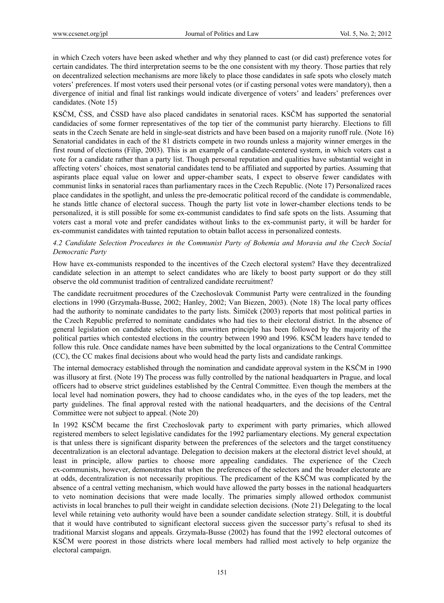in which Czech voters have been asked whether and why they planned to cast (or did cast) preference votes for certain candidates. The third interpretation seems to be the one consistent with my theory. Those parties that rely on decentralized selection mechanisms are more likely to place those candidates in safe spots who closely match voters' preferences. If most voters used their personal votes (or if casting personal votes were mandatory), then a divergence of initial and final list rankings would indicate divergence of voters' and leaders' preferences over candidates. (Note 15)

KSČM, ČSS, and ČSSD have also placed candidates in senatorial races. KSČM has supported the senatorial candidacies of some former representatives of the top tier of the communist party hierarchy. Elections to fill seats in the Czech Senate are held in single-seat districts and have been based on a majority runoff rule. (Note 16) Senatorial candidates in each of the 81 districts compete in two rounds unless a majority winner emerges in the first round of elections (Filip, 2003). This is an example of a candidate-centered system, in which voters cast a vote for a candidate rather than a party list. Though personal reputation and qualities have substantial weight in affecting voters' choices, most senatorial candidates tend to be affiliated and supported by parties. Assuming that aspirants place equal value on lower and upper-chamber seats, I expect to observe fewer candidates with communist links in senatorial races than parliamentary races in the Czech Republic. (Note 17) Personalized races place candidates in the spotlight, and unless the pre-democratic political record of the candidate is commendable, he stands little chance of electoral success. Though the party list vote in lower-chamber elections tends to be personalized, it is still possible for some ex-communist candidates to find safe spots on the lists. Assuming that voters cast a moral vote and prefer candidates without links to the ex-communist party, it will be harder for ex-communist candidates with tainted reputation to obtain ballot access in personalized contests.

# *4.2 Candidate Selection Procedures in the Communist Party of Bohemia and Moravia and the Czech Social Democratic Party*

How have ex-communists responded to the incentives of the Czech electoral system? Have they decentralized candidate selection in an attempt to select candidates who are likely to boost party support or do they still observe the old communist tradition of centralized candidate recruitment?

The candidate recruitment procedures of the Czechoslovak Communist Party were centralized in the founding elections in 1990 (Grzymała-Busse, 2002; Hanley, 2002; Van Biezen, 2003). (Note 18) The local party offices had the authority to nominate candidates to the party lists. Šimíček (2003) reports that most political parties in the Czech Republic preferred to nominate candidates who had ties to their electoral district. In the absence of general legislation on candidate selection, this unwritten principle has been followed by the majority of the political parties which contested elections in the country between 1990 and 1996. KSČM leaders have tended to follow this rule. Once candidate names have been submitted by the local organizations to the Central Committee (CC), the CC makes final decisions about who would head the party lists and candidate rankings.

The internal democracy established through the nomination and candidate approval system in the KSČM in 1990 was illusory at first. (Note 19) The process was fully controlled by the national headquarters in Prague, and local officers had to observe strict guidelines established by the Central Committee. Even though the members at the local level had nomination powers, they had to choose candidates who, in the eyes of the top leaders, met the party guidelines. The final approval rested with the national headquarters, and the decisions of the Central Committee were not subject to appeal. (Note 20)

In 1992 KSČM became the first Czechoslovak party to experiment with party primaries, which allowed registered members to select legislative candidates for the 1992 parliamentary elections. My general expectation is that unless there is significant disparity between the preferences of the selectors and the target constituency decentralization is an electoral advantage. Delegation to decision makers at the electoral district level should, at least in principle, allow parties to choose more appealing candidates. The experience of the Czech ex-communists, however, demonstrates that when the preferences of the selectors and the broader electorate are at odds, decentralization is not necessarily propitious. The predicament of the KSČM was complicated by the absence of a central vetting mechanism, which would have allowed the party bosses in the national headquarters to veto nomination decisions that were made locally. The primaries simply allowed orthodox communist activists in local branches to pull their weight in candidate selection decisions. (Note 21) Delegating to the local level while retaining veto authority would have been a sounder candidate selection strategy. Still, it is doubtful that it would have contributed to significant electoral success given the successor party's refusal to shed its traditional Marxist slogans and appeals. Grzymała-Busse (2002) has found that the 1992 electoral outcomes of KSČM were poorest in those districts where local members had rallied most actively to help organize the electoral campaign.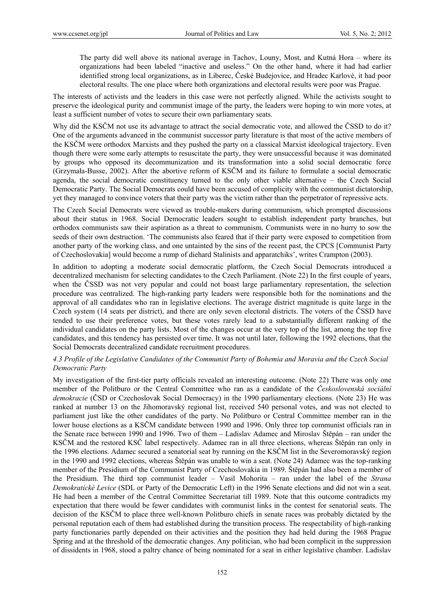The party did well above its national average in Tachov, Louny, Most, and Kutná Hora – where its organizations had been labeled "inactive and useless." On the other hand, where it had had earlier identified strong local organizations, as in Liberec, České Budejovice, and Hradec Karlové, it had poor electoral results. The one place where both organizations and electoral results were poor was Prague.

The interests of activists and the leaders in this case were not perfectly aligned. While the activists sought to preserve the ideological purity and communist image of the party, the leaders were hoping to win more votes, at least a sufficient number of votes to secure their own parliamentary seats.

Why did the KSČM not use its advantage to attract the social democratic vote, and allowed the ČSSD to do it? One of the arguments advanced in the communist successor party literature is that most of the active members of the KSČM were orthodox Marxists and they pushed the party on a classical Marxist ideological trajectory. Even though there were some early attempts to resuscitate the party, they were unsuccessful because it was dominated by groups who opposed its decommunization and its transformation into a solid social democratic force (Grzymała-Busse, 2002). After the abortive reform of KSČM and its failure to formulate a social democratic agenda, the social democratic constituency turned to the only other viable alternative – the Czech Social Democratic Party. The Social Democrats could have been accused of complicity with the communist dictatorship, yet they managed to convince voters that their party was the victim rather than the perpetrator of repressive acts.

The Czech Social Democrats were viewed as trouble-makers during communism, which prompted discussions about their status in 1968. Social Democratic leaders sought to establish independent party branches, but orthodox communists saw their aspiration as a threat to communism. Communists were in no hurry to sow the seeds of their own destruction. 'The communists also feared that if their party were exposed to competition from another party of the working class, and one untainted by the sins of the recent past, the CPCS [Communist Party of Czechoslovakia] would become a rump of diehard Stalinists and apparatchiks', writes Crampton (2003).

In addition to adopting a moderate social democratic platform, the Czech Social Democrats introduced a decentralized mechanism for selecting candidates to the Czech Parliament. (Note 22) In the first couple of years, when the ČSSD was not very popular and could not boast large parliamentary representation, the selection procedure was centralized. The high-ranking party leaders were responsible both for the nominations and the approval of all candidates who ran in legislative elections. The average district magnitude is quite large in the Czech system (14 seats per district), and there are only seven electoral districts. The voters of the ČSSD have tended to use their preference votes, but these votes rarely lead to a substantially different ranking of the individual candidates on the party lists. Most of the changes occur at the very top of the list, among the top five candidates, and this tendency has persisted over time. It was not until later, following the 1992 elections, that the Social Democrats decentralized candidate recruitment procedures.

# *4.3 Profile of the Legislative Candidates of the Communist Party of Bohemia and Moravia and the Czech Social Democratic Party*

My investigation of the first-tier party officials revealed an interesting outcome. (Note 22) There was only one member of the Politburo or the Central Committee who ran as a candidate of the *Československá sociální demokracie* (ČSD or Czechoslovak Social Democracy) in the 1990 parliamentary elections. (Note 23) He was ranked at number 13 on the Jihomoravský regional list, received 540 personal votes, and was not elected to parliament just like the other candidates of the party. No Politburo or Central Committee member ran in the lower house elections as a KSČM candidate between 1990 and 1996. Only three top communist officials ran in the Senate race between 1990 and 1996. Two of them – Ladislav Adamec and Miroslav Štěpán – ran under the KSČM and the restored KSČ label respectively. Adamec ran in all three elections, whereas Štěpán ran only in the 1996 elections. Adamec secured a senatorial seat by running on the KSČM list in the Severomoravský region in the 1990 and 1992 elections, whereas Štěpán was unable to win a seat. (Note 24) Adamec was the top-ranking member of the Presidium of the Communist Party of Czechoslovakia in 1989. Štěpán had also been a member of the Presidium. The third top communist leader – Vasil Mohorita – ran under the label of the *Strana Demokratické Levice* (SDL or Party of the Democratic Left) in the 1996 Senate elections and did not win a seat. He had been a member of the Central Committee Secretariat till 1989. Note that this outcome contradicts my expectation that there would be fewer candidates with communist links in the contest for senatorial seats. The decision of the KSČM to place three well-known Politburo chiefs in senate races was probably dictated by the personal reputation each of them had established during the transition process. The respectability of high-ranking party functionaries partly depended on their activities and the position they had held during the 1968 Prague Spring and at the threshold of the democratic changes. Any politician, who had been complicit in the suppression of dissidents in 1968, stood a paltry chance of being nominated for a seat in either legislative chamber. Ladislav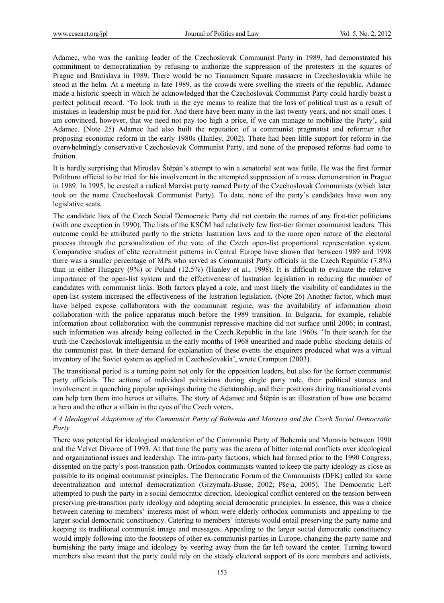Adamec, who was the ranking leader of the Czechoslovak Communist Party in 1989, had demonstrated his commitment to democratization by refusing to authorize the suppression of the protesters in the squares of Prague and Bratislava in 1989. There would be no Tiananmen Square massacre in Czechoslovakia while he stood at the helm. At a meeting in late 1989, as the crowds were swelling the streets of the republic, Adamec made a historic speech in which he acknowledged that the Czechoslovak Communist Party could hardly boast a perfect political record. 'To look truth in the eye means to realize that the loss of political trust as a result of mistakes in leadership must be paid for. And there have been many in the last twenty years, and not small ones. I am convinced, however, that we need not pay too high a price, if we can manage to mobilize the Party', said Adamec. (Note 25) Adamec had also built the reputation of a communist pragmatist and reformer after proposing economic reform in the early 1980s (Hanley, 2002). There had been little support for reform in the overwhelmingly conservative Czechoslovak Communist Party, and none of the proposed reforms had come to fruition.

It is hardly surprising that Miroslav Štěpán's attempt to win a senatorial seat was futile. He was the first former Politburo official to be tried for his involvement in the attempted suppression of a mass demonstration in Prague in 1989. In 1995, he created a radical Marxist party named Party of the Czechoslovak Communists (which later took on the name Czechoslovak Communist Party). To date, none of the party's candidates have won any legislative seats.

The candidate lists of the Czech Social Democratic Party did not contain the names of any first-tier politicians (with one exception in 1990). The lists of the KSČM had relatively few first-tier former communist leaders. This outcome could be attributed partly to the stricter lustration laws and to the more open nature of the electoral process through the personalization of the vote of the Czech open-list proportional representation system. Comparative studies of elite recruitment patterns in Central Europe have shown that between 1989 and 1998 there was a smaller percentage of MPs who served as Communist Party officials in the Czech Republic (7.8%) than in either Hungary (9%) or Poland (12.5%) (Hanley et al., 1998). It is difficult to evaluate the relative importance of the open-list system and the effectiveness of lustration legislation in reducing the number of candidates with communist links. Both factors played a role, and most likely the visibility of candidates in the open-list system increased the effectiveness of the lustration legislation. (Note 26) Another factor, which must have helped expose collaborators with the communist regime, was the availability of information about collaboration with the police apparatus much before the 1989 transition. In Bulgaria, for example, reliable information about collaboration with the communist repressive machine did not surface until 2006; in contrast, such information was already being collected in the Czech Republic in the late 1960s. 'In their search for the truth the Czechoslovak intelligentsia in the early months of 1968 unearthed and made public shocking details of the communist past. In their demand for explanation of these events the enquirers produced what was a virtual inventory of the Soviet system as applied in Czechoslovakia', wrote Crampton (2003).

The transitional period is a turning point not only for the opposition leaders, but also for the former communist party officials. The actions of individual politicians during single party rule, their political stances and involvement in quenching popular uprisings during the dictatorship, and their positions during transitional events can help turn them into heroes or villains. The story of Adamec and Štěpán is an illustration of how one became a hero and the other a villain in the eyes of the Czech voters.

# *4.4 Ideological Adaptation of the Communist Party of Bohemia and Moravia and the Czech Social Democratic Party*

There was potential for ideological moderation of the Communist Party of Bohemia and Moravia between 1990 and the Velvet Divorce of 1993. At that time the party was the arena of bitter internal conflicts over ideological and organizational issues and leadership. The intra-party factions, which had formed prior to the 1990 Congress, dissented on the party's post-transition path. Orthodox communists wanted to keep the party ideology as close as possible to its original communist principles. The Democratic Forum of the Communists (DFK) called for some decentralization and internal democratization (Grzymała-Busse, 2002; Pšeja, 2005). The Democratic Left attempted to push the party in a social democratic direction. Ideological conflict centered on the tension between preserving pre-transition party ideology and adopting social democratic principles. In essence, this was a choice between catering to members' interests most of whom were elderly orthodox communists and appealing to the larger social democratic constituency. Catering to members' interests would entail preserving the party name and keeping its traditional communist image and messages. Appealing to the larger social democratic constituency would imply following into the footsteps of other ex-communist parties in Europe, changing the party name and burnishing the party image and ideology by veering away from the far left toward the center. Turning toward members also meant that the party could rely on the steady electoral support of its core members and activists,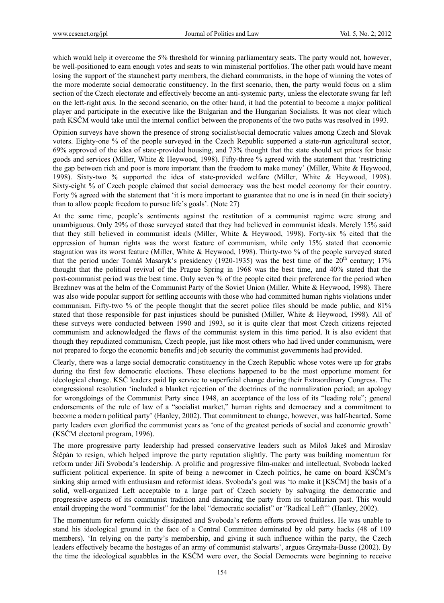which would help it overcome the 5% threshold for winning parliamentary seats. The party would not, however, be well-positioned to earn enough votes and seats to win ministerial portfolios. The other path would have meant losing the support of the staunchest party members, the diehard communists, in the hope of winning the votes of the more moderate social democratic constituency. In the first scenario, then, the party would focus on a slim section of the Czech electorate and effectively become an anti-systemic party, unless the electorate swung far left on the left-right axis. In the second scenario, on the other hand, it had the potential to become a major political player and participate in the executive like the Bulgarian and the Hungarian Socialists. It was not clear which path KSČM would take until the internal conflict between the proponents of the two paths was resolved in 1993.

Opinion surveys have shown the presence of strong socialist/social democratic values among Czech and Slovak voters. Eighty-one % of the people surveyed in the Czech Republic supported a state-run agricultural sector, 69% approved of the idea of state-provided housing, and 73% thought that the state should set prices for basic goods and services (Miller, White & Heywood, 1998). Fifty-three % agreed with the statement that 'restricting the gap between rich and poor is more important than the freedom to make money' (Miller, White & Heywood, 1998). Sixty-two % supported the idea of state-provided welfare (Miller, White & Heywood, 1998). Sixty-eight % of Czech people claimed that social democracy was the best model economy for their country. Forty % agreed with the statement that 'it is more important to guarantee that no one is in need (in their society) than to allow people freedom to pursue life's goals'. (Note 27)

At the same time, people's sentiments against the restitution of a communist regime were strong and unambiguous. Only 29% of those surveyed stated that they had believed in communist ideals. Merely 15% said that they still believed in communist ideals (Miller, White & Heywood, 1998). Forty-six % cited that the oppression of human rights was the worst feature of communism, while only 15% stated that economic stagnation was its worst feature (Miller, White & Heywood, 1998). Thirty-two % of the people surveyed stated that the period under Tomáš Masaryk's presidency (1920-1935) was the best time of the  $20<sup>th</sup>$  century; 17% thought that the political revival of the Prague Spring in 1968 was the best time, and 40% stated that the post-communist period was the best time. Only seven % of the people cited their preference for the period when Brezhnev was at the helm of the Communist Party of the Soviet Union (Miller, White & Heywood, 1998). There was also wide popular support for settling accounts with those who had committed human rights violations under communism. Fifty-two % of the people thought that the secret police files should be made public, and 81% stated that those responsible for past injustices should be punished (Miller, White & Heywood, 1998). All of these surveys were conducted between 1990 and 1993, so it is quite clear that most Czech citizens rejected communism and acknowledged the flaws of the communist system in this time period. It is also evident that though they repudiated communism, Czech people, just like most others who had lived under communism, were not prepared to forgo the economic benefits and job security the communist governments had provided.

Clearly, there was a large social democratic constituency in the Czech Republic whose votes were up for grabs during the first few democratic elections. These elections happened to be the most opportune moment for ideological change. KSČ leaders paid lip service to superficial change during their Extraordinary Congress. The congressional resolution 'included a blanket rejection of the doctrines of the normalization period; an apology for wrongdoings of the Communist Party since 1948, an acceptance of the loss of its "leading role"; general endorsements of the rule of law of a "socialist market," human rights and democracy and a commitment to become a modern political party' (Hanley, 2002). That commitment to change, however, was half-hearted. Some party leaders even glorified the communist years as 'one of the greatest periods of social and economic growth' (KSČM electoral program, 1996).

The more progressive party leadership had pressed conservative leaders such as Miloš Jakeš and Miroslav Štěpán to resign, which helped improve the party reputation slightly. The party was building momentum for reform under Jiří Svoboda's leadership. A prolific and progressive film-maker and intellectual, Svoboda lacked sufficient political experience. In spite of being a newcomer in Czech politics, he came on board KSČM's sinking ship armed with enthusiasm and reformist ideas. Svoboda's goal was 'to make it [KSČM] the basis of a solid, well-organized Left acceptable to a large part of Czech society by salvaging the democratic and progressive aspects of its communist tradition and distancing the party from its totalitarian past. This would entail dropping the word "communist" for the label "democratic socialist" or "Radical Left"' (Hanley, 2002).

The momentum for reform quickly dissipated and Svoboda's reform efforts proved fruitless. He was unable to stand his ideological ground in the face of a Central Committee dominated by old party hacks (48 of 109 members). 'In relying on the party's membership, and giving it such influence within the party, the Czech leaders effectively became the hostages of an army of communist stalwarts', argues Grzymała-Busse (2002). By the time the ideological squabbles in the KSČM were over, the Social Democrats were beginning to receive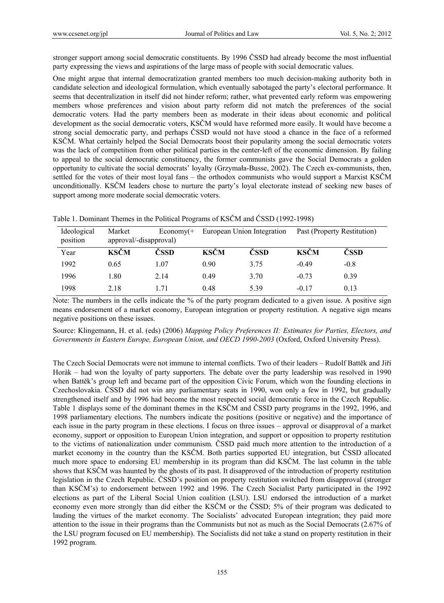stronger support among social democratic constituents. By 1996 ČSSD had already become the most influential party expressing the views and aspirations of the large mass of people with social democratic values.

One might argue that internal democratization granted members too much decision-making authority both in candidate selection and ideological formulation, which eventually sabotaged the party's electoral performance. It seems that decentralization in itself did not hinder reform; rather, what prevented early reform was empowering members whose preferences and vision about party reform did not match the preferences of the social democratic voters. Had the party members been as moderate in their ideas about economic and political development as the social democratic voters, KSČM would have reformed more easily. It would have become a strong social democratic party, and perhaps ČSSD would not have stood a chance in the face of a reformed KSČM. What certainly helped the Social Democrats boost their popularity among the social democratic voters was the lack of competition from other political parties in the center-left of the economic dimension. By failing to appeal to the social democratic constituency, the former communists gave the Social Democrats a golden opportunity to cultivate the social democrats' loyalty (Grzymała-Busse, 2002). The Czech ex-communists, then, settled for the votes of their most loyal fans – the orthodox communists who would support a Marxist KSČM unconditionally. KSČM leaders chose to nurture the party's loyal electorate instead of seeking new bases of support among more moderate social democratic voters.

| Ideological<br>position | Market<br>approval/-disapproval) | $E_{\rm{conomy}(+)}$ |             | European Union Integration | Past (Property Restitution) |        |  |
|-------------------------|----------------------------------|----------------------|-------------|----------------------------|-----------------------------|--------|--|
| Year                    | <b>KSCM</b>                      | CSSD                 | <b>KSCM</b> | CSSD                       | <b>KSCM</b>                 | CSSD   |  |
| 1992                    | 0.65                             | 1.07                 | 0.90        | 3.75                       | $-0.49$                     | $-0.8$ |  |
| 1996                    | 1.80                             | 2.14                 | 0.49        | 3.70                       | $-0.73$                     | 0.39   |  |
| 1998                    | 2.18                             | 1 71                 | 0.48        | 5.39                       | $-0.17$                     | 0.13   |  |

Table 1. Dominant Themes in the Political Programs of KSČM and ČSSD (1992-1998)

Note: The numbers in the cells indicate the % of the party program dedicated to a given issue. A positive sign means endorsement of a market economy, European integration or property restitution. A negative sign means negative positions on these issues.

Source: Klingemann, H. et al. (eds) (2006) *Mapping Policy Preferences II: Estimates for Parties, Electors, and Governments in Eastern Europe, European Union, and OECD 1990-2003* (Oxford, Oxford University Press).

The Czech Social Democrats were not immune to internal conflicts. Two of their leaders – Rudolf Battěk and Jiří Horák – had won the loyalty of party supporters. The debate over the party leadership was resolved in 1990 when Battěk's group left and became part of the opposition Civic Forum, which won the founding elections in Czechoslovakia. ČSSD did not win any parliamentary seats in 1990, won only a few in 1992, but gradually strengthened itself and by 1996 had become the most respected social democratic force in the Czech Republic. Table 1 displays some of the dominant themes in the KSČM and ČSSD party programs in the 1992, 1996, and 1998 parliamentary elections. The numbers indicate the positions (positive or negative) and the importance of each issue in the party program in these elections. I focus on three issues – approval or disapproval of a market economy, support or opposition to European Union integration, and support or opposition to property restitution to the victims of nationalization under communism. ČSSD paid much more attention to the introduction of a market economy in the country than the KSČM. Both parties supported EU integration, but ČSSD allocated much more space to endorsing EU membership in its program than did KSČM. The last column in the table shows that KSČM was haunted by the ghosts of its past. It disapproved of the introduction of property restitution legislation in the Czech Republic. ČSSD's position on property restitution switched from disapproval (stronger than KSČM's) to endorsement between 1992 and 1996. The Czech Socialist Party participated in the 1992 elections as part of the Liberal Social Union coalition (LSU). LSU endorsed the introduction of a market economy even more strongly than did either the KSČM or the ČSSD; 5% of their program was dedicated to lauding the virtues of the market economy. The Socialists' advocated European integration; they paid more attention to the issue in their programs than the Communists but not as much as the Social Democrats (2.67% of the LSU program focused on EU membership). The Socialists did not take a stand on property restitution in their 1992 program.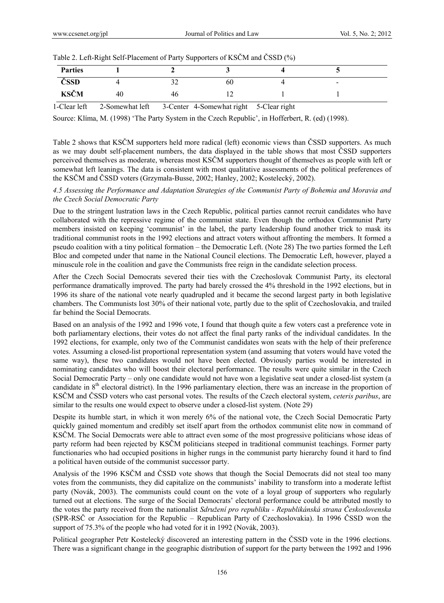| Table 2. Left-Right Self-Placement of Party Supporters of KSČM and ČSSD (%) |
|-----------------------------------------------------------------------------|
|-----------------------------------------------------------------------------|

| <b>Parties</b> |                                                                                                                     |        |    |   |  |
|----------------|---------------------------------------------------------------------------------------------------------------------|--------|----|---|--|
| ČSSD           |                                                                                                                     | $\sim$ | 60 | - |  |
| KSČM           | 40                                                                                                                  | 46     |    |   |  |
|                | $1.01$ can $1.0$ $-2.0$ can cycle at $1.0$ $-2.0$ cycle at $0.0$ cycle at at at at $\sim$ $-1.0$ cycle at at $\sim$ |        |    |   |  |

1-Clear left 2-Somewhat left 3-Center 4-Somewhat right 5-Clear right

Source: Klíma, M. (1998) 'The Party System in the Czech Republic', in Hofferbert, R. (ed) (1998).

Table 2 shows that KSČM supporters held more radical (left) economic views than ČSSD supporters. As much as we may doubt self-placement numbers, the data displayed in the table shows that most ČSSD supporters perceived themselves as moderate, whereas most KSČM supporters thought of themselves as people with left or somewhat left leanings. The data is consistent with most qualitative assessments of the political preferences of the KSČM and ČSSD voters (Grzymała-Busse, 2002; Hanley, 2002; Kostelecký, 2002).

# *4.5 Assessing the Performance and Adaptation Strategies of the Communist Party of Bohemia and Moravia and the Czech Social Democratic Party*

Due to the stringent lustration laws in the Czech Republic, political parties cannot recruit candidates who have collaborated with the repressive regime of the communist state. Even though the orthodox Communist Party members insisted on keeping 'communist' in the label, the party leadership found another trick to mask its traditional communist roots in the 1992 elections and attract voters without affronting the members. It formed a pseudo coalition with a tiny political formation – the Democratic Left. (Note 28) The two parties formed the Left Bloc and competed under that name in the National Council elections. The Democratic Left, however, played a minuscule role in the coalition and gave the Communists free reign in the candidate selection process.

After the Czech Social Democrats severed their ties with the Czechoslovak Communist Party, its electoral performance dramatically improved. The party had barely crossed the 4% threshold in the 1992 elections, but in 1996 its share of the national vote nearly quadrupled and it became the second largest party in both legislative chambers. The Communists lost 30% of their national vote, partly due to the split of Czechoslovakia, and trailed far behind the Social Democrats.

Based on an analysis of the 1992 and 1996 vote, I found that though quite a few voters cast a preference vote in both parliamentary elections, their votes do not affect the final party ranks of the individual candidates. In the 1992 elections, for example, only two of the Communist candidates won seats with the help of their preference votes. Assuming a closed-list proportional representation system (and assuming that voters would have voted the same way), these two candidates would not have been elected. Obviously parties would be interested in nominating candidates who will boost their electoral performance. The results were quite similar in the Czech Social Democratic Party – only one candidate would not have won a legislative seat under a closed-list system (a candidate in  $8<sup>th</sup>$  electoral district). In the 1996 parliamentary election, there was an increase in the proportion of KSČM and ČSSD voters who cast personal votes. The results of the Czech electoral system, *ceteris paribus*, are similar to the results one would expect to observe under a closed-list system. (Note 29)

Despite its humble start, in which it won merely 6% of the national vote, the Czech Social Democratic Party quickly gained momentum and credibly set itself apart from the orthodox communist elite now in command of KSČM. The Social Democrats were able to attract even some of the most progressive politicians whose ideas of party reform had been rejected by KSČM politicians steeped in traditional communist teachings. Former party functionaries who had occupied positions in higher rungs in the communist party hierarchy found it hard to find a political haven outside of the communist successor party.

Analysis of the 1996 KSČM and ČSSD vote shows that though the Social Democrats did not steal too many votes from the communists, they did capitalize on the communists' inability to transform into a moderate leftist party (Novák, 2003). The communists could count on the vote of a loyal group of supporters who regularly turned out at elections. The surge of the Social Democrats' electoral performance could be attributed mostly to the votes the party received from the nationalist *Sdružení pro republiku - Republikánská strana Československa* (SPR-RSČ or Association for the Republic – Republican Party of Czechoslovakia). In 1996 ČSSD won the support of 75.3% of the people who had voted for it in 1992 (Novák, 2003).

Political geographer Petr Kostelecký discovered an interesting pattern in the ČSSD vote in the 1996 elections. There was a significant change in the geographic distribution of support for the party between the 1992 and 1996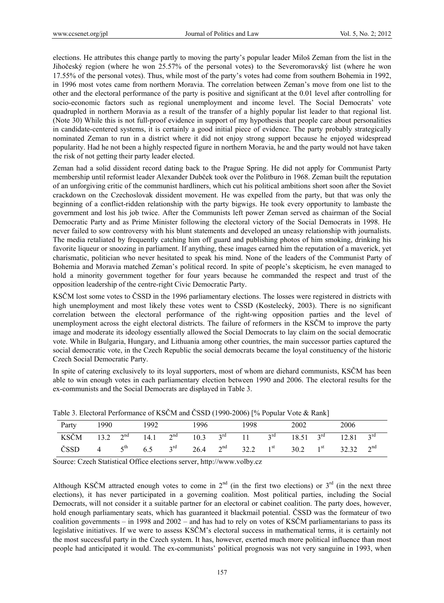elections. He attributes this change partly to moving the party's popular leader Miloš Zeman from the list in the Jihočeský region (where he won 25.57% of the personal votes) to the Severomoravský list (where he won 17.55% of the personal votes). Thus, while most of the party's votes had come from southern Bohemia in 1992, in 1996 most votes came from northern Moravia. The correlation between Zeman's move from one list to the other and the electoral performance of the party is positive and significant at the 0.01 level after controlling for socio-economic factors such as regional unemployment and income level. The Social Democrats' vote quadrupled in northern Moravia as a result of the transfer of a highly popular list leader to that regional list. (Note 30) While this is not full-proof evidence in support of my hypothesis that people care about personalities in candidate-centered systems, it is certainly a good initial piece of evidence. The party probably strategically nominated Zeman to run in a district where it did not enjoy strong support because he enjoyed widespread popularity. Had he not been a highly respected figure in northern Moravia, he and the party would not have taken the risk of not getting their party leader elected.

Zeman had a solid dissident record dating back to the Prague Spring. He did not apply for Communist Party membership until reformist leader Alexander Dubček took over the Politburo in 1968. Zeman built the reputation of an unforgiving critic of the communist hardliners, which cut his political ambitions short soon after the Soviet crackdown on the Czechoslovak dissident movement. He was expelled from the party, but that was only the beginning of a conflict-ridden relationship with the party bigwigs. He took every opportunity to lambaste the government and lost his job twice. After the Communists left power Zeman served as chairman of the Social Democratic Party and as Prime Minister following the electoral victory of the Social Democrats in 1998. He never failed to sow controversy with his blunt statements and developed an uneasy relationship with journalists. The media retaliated by frequently catching him off guard and publishing photos of him smoking, drinking his favorite liqueur or snoozing in parliament. If anything, these images earned him the reputation of a maverick, yet charismatic, politician who never hesitated to speak his mind. None of the leaders of the Communist Party of Bohemia and Moravia matched Zeman's political record. In spite of people's skepticism, he even managed to hold a minority government together for four years because he commanded the respect and trust of the opposition leadership of the centre-right Civic Democratic Party.

KSČM lost some votes to ČSSD in the 1996 parliamentary elections. The losses were registered in districts with high unemployment and most likely these votes went to ČSSD (Kostelecký, 2003). There is no significant correlation between the electoral performance of the right-wing opposition parties and the level of unemployment across the eight electoral districts. The failure of reformers in the KSČM to improve the party image and moderate its ideology essentially allowed the Social Democrats to lay claim on the social democratic vote. While in Bulgaria, Hungary, and Lithuania among other countries, the main successor parties captured the social democratic vote, in the Czech Republic the social democrats became the loyal constituency of the historic Czech Social Democratic Party.

In spite of catering exclusively to its loyal supporters, most of whom are diehard communists, KSČM has been able to win enough votes in each parliamentary election between 1990 and 2006. The electoral results for the ex-communists and the Social Democrats are displayed in Table 3.

| Party                                                                                    | 1990 | 1992 | 1996 | 1998 | 2002 | 2006                                                                                                                       |  |
|------------------------------------------------------------------------------------------|------|------|------|------|------|----------------------------------------------------------------------------------------------------------------------------|--|
| KSČM 13.2 $2^{nd}$ 14.1 $2^{nd}$ 10.3 $3^{rd}$ 11 $3^{rd}$ 18.51 $3^{rd}$ 12.81 $3^{rd}$ |      |      |      |      |      |                                                                                                                            |  |
| <b>CSSD</b>                                                                              |      |      |      |      |      | 4 $5^{\text{th}}$ 6.5 $3^{\text{rd}}$ 26.4 $2^{\text{nd}}$ 32.2 $1^{\text{st}}$ 30.2 $1^{\text{st}}$ 32.32 $2^{\text{nd}}$ |  |

Table 3. Electoral Performance of KSČM and ČSSD (1990-2006) [% Popular Vote & Rank]

Source: Czech Statistical Office elections server, http://www.volby.cz

Although KSČM attracted enough votes to come in  $2<sup>nd</sup>$  (in the first two elections) or  $3<sup>rd</sup>$  (in the next three elections), it has never participated in a governing coalition. Most political parties, including the Social Democrats, will not consider it a suitable partner for an electoral or cabinet coalition. The party does, however, hold enough parliamentary seats, which has guaranteed it blackmail potential. ČSSD was the formateur of two coalition governments – in 1998 and 2002 – and has had to rely on votes of KSČM parliamentarians to pass its legislative initiatives. If we were to assess KSČM's electoral success in mathematical terms, it is certainly not the most successful party in the Czech system. It has, however, exerted much more political influence than most people had anticipated it would. The ex-communists' political prognosis was not very sanguine in 1993, when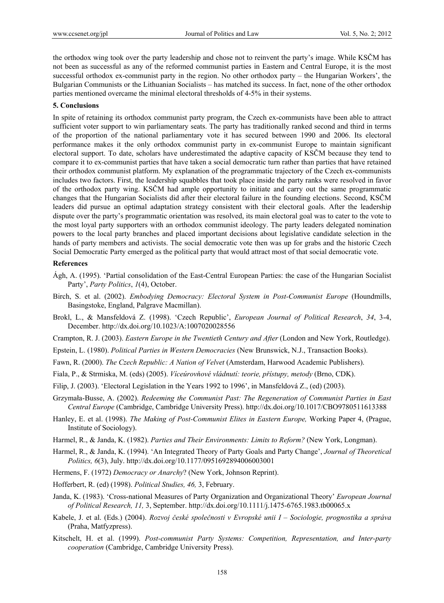the orthodox wing took over the party leadership and chose not to reinvent the party's image. While KSČM has not been as successful as any of the reformed communist parties in Eastern and Central Europe, it is the most successful orthodox ex-communist party in the region. No other orthodox party – the Hungarian Workers', the Bulgarian Communists or the Lithuanian Socialists – has matched its success. In fact, none of the other orthodox parties mentioned overcame the minimal electoral thresholds of 4-5% in their systems.

#### **5. Conclusions**

In spite of retaining its orthodox communist party program, the Czech ex-communists have been able to attract sufficient voter support to win parliamentary seats. The party has traditionally ranked second and third in terms of the proportion of the national parliamentary vote it has secured between 1990 and 2006. Its electoral performance makes it the only orthodox communist party in ex-communist Europe to maintain significant electoral support. To date, scholars have underestimated the adaptive capacity of KSČM because they tend to compare it to ex-communist parties that have taken a social democratic turn rather than parties that have retained their orthodox communist platform. My explanation of the programmatic trajectory of the Czech ex-communists includes two factors. First, the leadership squabbles that took place inside the party ranks were resolved in favor of the orthodox party wing. KSČM had ample opportunity to initiate and carry out the same programmatic changes that the Hungarian Socialists did after their electoral failure in the founding elections. Second, KSČM leaders did pursue an optimal adaptation strategy consistent with their electoral goals. After the leadership dispute over the party's programmatic orientation was resolved, its main electoral goal was to cater to the vote to the most loyal party supporters with an orthodox communist ideology. The party leaders delegated nomination powers to the local party branches and placed important decisions about legislative candidate selection in the hands of party members and activists. The social democratic vote then was up for grabs and the historic Czech Social Democratic Party emerged as the political party that would attract most of that social democratic vote.

#### **References**

- Ágh, A. (1995). 'Partial consolidation of the East-Central European Parties: the case of the Hungarian Socialist Party', *Party Politics*, *1*(4), October.
- Birch, S. et al. (2002). *Embodying Democracy: Electoral System in Post-Communist Europe* (Houndmills, Basingstoke, England, Palgrave Macmillan).
- Brokl, L., & Mansfeldová Z. (1998). 'Czech Republic', *European Journal of Political Research*, *34*, 3-4, December. http://dx.doi.org/10.1023/A:1007020028556
- Crampton, R. J. (2003). *Eastern Europe in the Twentieth Century and After* (London and New York, Routledge).
- Epstein, L. (1980). *Political Parties in Western Democracies* (New Brunswick, N.J., Transaction Books).
- Fawn, R. (2000). *The Czech Republic: A Nation of Velvet* (Amsterdam, Harwood Academic Publishers).
- Fiala, P., & Strmiska, M. (eds) (2005). *Víceúrovňové vládnutí: teorie, přístupy, metody* (Brno, CDK).
- Filip, J. (2003). 'Electoral Legislation in the Years 1992 to 1996', in Mansfeldová Z., (ed) (2003).
- Grzymała-Busse, A. (2002). *Redeeming the Communist Past: The Regeneration of Communist Parties in East Central Europe* (Cambridge, Cambridge University Press). http://dx.doi.org/10.1017/CBO9780511613388
- Hanley, E. et al. (1998). *The Making of Post-Communist Elites in Eastern Europe,* Working Paper 4, (Prague, Institute of Sociology).
- Harmel, R., & Janda, K. (1982). *Parties and Their Environments: Limits to Reform?* (New York, Longman).
- Harmel, R., & Janda, K. (1994). 'An Integrated Theory of Party Goals and Party Change', *Journal of Theoretical Politics, 6*(3), July. http://dx.doi.org/10.1177/0951692894006003001
- Hermens, F. (1972) *Democracy or Anarchy*? (New York, Johnson Reprint).
- Hofferbert, R. (ed) (1998). *Political Studies, 46,* 3, February.
- Janda, K. (1983). 'Cross-national Measures of Party Organization and Organizational Theory' *European Journal of Political Research, 11,* 3, September. http://dx.doi.org/10.1111/j.1475-6765.1983.tb00065.x
- Kabele, J. et al. (Eds.) (2004). *Rozvoj české společnosti v Evropské unii I Sociologie, prognostika a správa* (Praha, Matfyzpress).
- Kitschelt, H. et al. (1999). *Post-communist Party Systems: Competition, Representation, and Inter-party cooperation* (Cambridge, Cambridge University Press).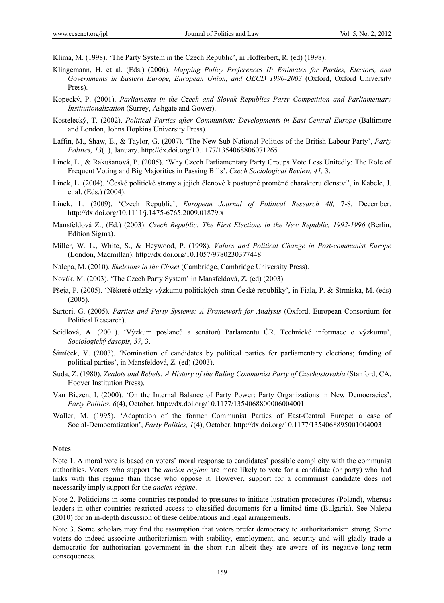Klíma, M. (1998). 'The Party System in the Czech Republic', in Hofferbert, R. (ed) (1998).

- Klingemann, H. et al. (Eds.) (2006). *Mapping Policy Preferences II: Estimates for Parties, Electors, and Governments in Eastern Europe, European Union, and OECD 1990-2003* (Oxford, Oxford University Press).
- Kopecký, P. (2001). *Parliaments in the Czech and Slovak Republics Party Competition and Parliamentary Institutionalization* (Surrey, Ashgate and Gower).
- Kostelecký, T. (2002). *Political Parties after Communism: Developments in East-Central Europe* (Baltimore and London, Johns Hopkins University Press).
- Laffin, M., Shaw, E., & Taylor, G. (2007). 'The New Sub-National Politics of the British Labour Party', *Party Politics, 13*(1), January. http://dx.doi.org/10.1177/1354068806071265
- Linek, L., & Rakušanová, P. (2005). 'Why Czech Parliamentary Party Groups Vote Less Unitedly: The Role of Frequent Voting and Big Majorities in Passing Bills', *Czech Sociological Review, 41,* 3.
- Linek, L. (2004). 'České politické strany a jejich členové k postupné proměně charakteru členství', in Kabele, J. et al. (Eds.) (2004).
- Linek, L. (2009). 'Czech Republic', *European Journal of Political Research 48,* 7-8, December. http://dx.doi.org/10.1111/j.1475-6765.2009.01879.x
- Mansfeldová Z., (Ed.) (2003). *Czech Republic: The First Elections in the New Republic, 1992-1996* (Berlin, Edition Sigma).
- Miller, W. L., White, S., & Heywood, P. (1998). *Values and Political Change in Post-communist Europe* (London, Macmillan). http://dx.doi.org/10.1057/9780230377448
- Nalepa, M. (2010). *Skeletons in the Closet* (Cambridge, Cambridge University Press).
- Novák, M. (2003). 'The Czech Party System' in Mansfeldová, Z. (ed) (2003).
- Pšeja, P. (2005). 'Některé otázky výzkumu politických stran České republiky', in Fiala, P. & Strmiska, M. (eds) (2005).
- Sartori, G. (2005). *Parties and Party Systems: A Framework for Analysis* (Oxford, European Consortium for Political Research).
- Seidlová, A. (2001). 'Výzkum poslanců a senátorů Parlamentu ČR. Technické informace o výzkumu', *Sociologický časopis, 37,* 3.
- Šimíček, V. (2003). 'Nomination of candidates by political parties for parliamentary elections; funding of political parties', in Mansfeldová, Z. (ed) (2003).
- Suda, Z. (1980). *Zealots and Rebels: A History of the Ruling Communist Party of Czechoslovakia* (Stanford, CA, Hoover Institution Press).
- Van Biezen, I. (2000). 'On the Internal Balance of Party Power: Party Organizations in New Democracies', *Party Politics*, *6*(4), October. http://dx.doi.org/10.1177/1354068800006004001
- Waller, M. (1995). 'Adaptation of the former Communist Parties of East-Central Europe: a case of Social-Democratization', *Party Politics, 1*(4), October. http://dx.doi.org/10.1177/1354068895001004003

# **Notes**

Note 1. A moral vote is based on voters' moral response to candidates' possible complicity with the communist authorities. Voters who support the *ancien régime* are more likely to vote for a candidate (or party) who had links with this regime than those who oppose it. However, support for a communist candidate does not necessarily imply support for the *ancien régime*.

Note 2. Politicians in some countries responded to pressures to initiate lustration procedures (Poland), whereas leaders in other countries restricted access to classified documents for a limited time (Bulgaria). See Nalepa (2010) for an in-depth discussion of these deliberations and legal arrangements.

Note 3. Some scholars may find the assumption that voters prefer democracy to authoritarianism strong. Some voters do indeed associate authoritarianism with stability, employment, and security and will gladly trade a democratic for authoritarian government in the short run albeit they are aware of its negative long-term consequences.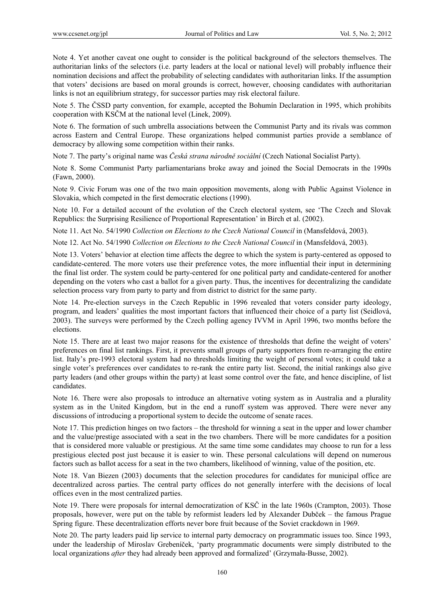Note 4. Yet another caveat one ought to consider is the political background of the selectors themselves. The authoritarian links of the selectors (i.e. party leaders at the local or national level) will probably influence their nomination decisions and affect the probability of selecting candidates with authoritarian links. If the assumption that voters' decisions are based on moral grounds is correct, however, choosing candidates with authoritarian links is not an equilibrium strategy, for successor parties may risk electoral failure.

Note 5. The ČSSD party convention, for example, accepted the Bohumín Declaration in 1995, which prohibits cooperation with KSČM at the national level (Linek, 2009).

Note 6. The formation of such umbrella associations between the Communist Party and its rivals was common across Eastern and Central Europe. These organizations helped communist parties provide a semblance of democracy by allowing some competition within their ranks.

Note 7. The party's original name was *Česká strana národně sociální* (Czech National Socialist Party).

Note 8. Some Communist Party parliamentarians broke away and joined the Social Democrats in the 1990s (Fawn, 2000).

Note 9. Civic Forum was one of the two main opposition movements, along with Public Against Violence in Slovakia, which competed in the first democratic elections (1990).

Note 10. For a detailed account of the evolution of the Czech electoral system, see 'The Czech and Slovak Republics: the Surprising Resilience of Proportional Representation' in Birch et al. (2002).

Note 11. Act No. 54/1990 *Collection on Elections to the Czech National Council* in (Mansfeldová, 2003).

Note 12. Act No. 54/1990 *Collection on Elections to the Czech National Council* in (Mansfeldová, 2003).

Note 13. Voters' behavior at election time affects the degree to which the system is party-centered as opposed to candidate-centered. The more voters use their preference votes, the more influential their input in determining the final list order. The system could be party-centered for one political party and candidate-centered for another depending on the voters who cast a ballot for a given party. Thus, the incentives for decentralizing the candidate selection process vary from party to party and from district to district for the same party.

Note 14. Pre-election surveys in the Czech Republic in 1996 revealed that voters consider party ideology, program, and leaders' qualities the most important factors that influenced their choice of a party list (Seidlová, 2003). The surveys were performed by the Czech polling agency IVVM in April 1996, two months before the elections.

Note 15. There are at least two major reasons for the existence of thresholds that define the weight of voters' preferences on final list rankings. First, it prevents small groups of party supporters from re-arranging the entire list. Italy's pre-1993 electoral system had no thresholds limiting the weight of personal votes; it could take a single voter's preferences over candidates to re-rank the entire party list. Second, the initial rankings also give party leaders (and other groups within the party) at least some control over the fate, and hence discipline, of list candidates.

Note 16. There were also proposals to introduce an alternative voting system as in Australia and a plurality system as in the United Kingdom, but in the end a runoff system was approved. There were never any discussions of introducing a proportional system to decide the outcome of senate races.

Note 17. This prediction hinges on two factors – the threshold for winning a seat in the upper and lower chamber and the value/prestige associated with a seat in the two chambers. There will be more candidates for a position that is considered more valuable or prestigious. At the same time some candidates may choose to run for a less prestigious elected post just because it is easier to win. These personal calculations will depend on numerous factors such as ballot access for a seat in the two chambers, likelihood of winning, value of the position, etc.

Note 18. Van Biezen (2003) documents that the selection procedures for candidates for municipal office are decentralized across parties. The central party offices do not generally interfere with the decisions of local offices even in the most centralized parties.

Note 19. There were proposals for internal democratization of KSČ in the late 1960s (Crampton, 2003). Those proposals, however, were put on the table by reformist leaders led by Alexander Dubček – the famous Prague Spring figure. These decentralization efforts never bore fruit because of the Soviet crackdown in 1969.

Note 20. The party leaders paid lip service to internal party democracy on programmatic issues too. Since 1993, under the leadership of Miroslav Grebeníček, 'party programmatic documents were simply distributed to the local organizations *after* they had already been approved and formalized' (Grzymała-Busse, 2002).